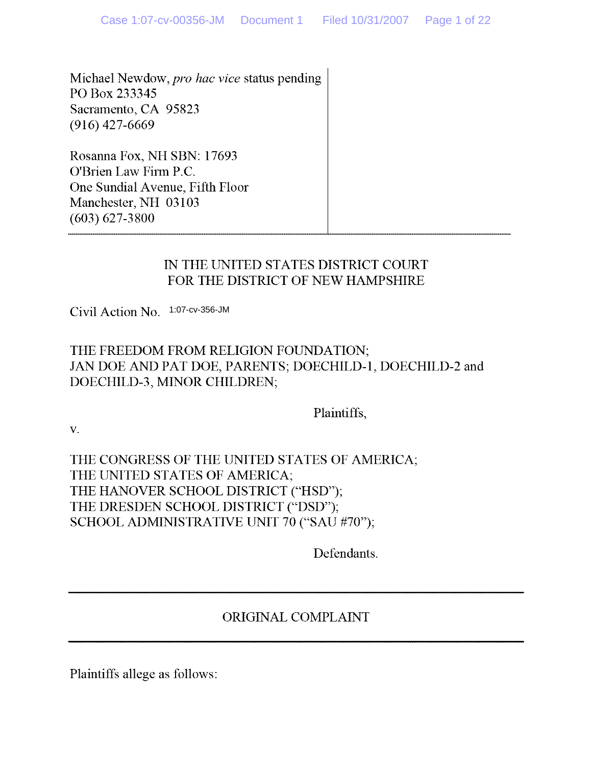Michael Newdow, *pro hac vice* status pending PO Box 233345 Sacramento, CA 95823  $(916)$  427-6669

Rosanna Fox, NH SBN: 17693 O'Brien Law Firm P.C. One Sundial Avenue, Fifth Floor Manchester, NH 03103 (603) 627-3800

#### IN THE UNITED STATES DISTRICT COURT FOR THE DISTRICT OF NEW HAMPSHIRE

Civil Action No. 1:07-cv-356-JM

### THE FREEDOM FROM RELIGION FOUNDATION; JAN DOE AND PAT DOE, PARENTS; DOECHILD-1, DOECHILD-2 and DOECHILD-3, MINOR CHILDREN;

Plaintiffs,

v.

## THE CONGRESS OF THE UNITED STATES OF AMERICA; THE UNITED STATES OF AMERICA; THE HANOVER SCHOOL DISTRICT **("HSD") ;** THE DRESDEN SCHOOL DISTRICT **("DSD");** SCHOOL ADMINISTRATIVE UNIT 70 **("SAU** #70");

Defendants.

## ORIGINAL COMPLAINT

Plaintiffs allege as follows :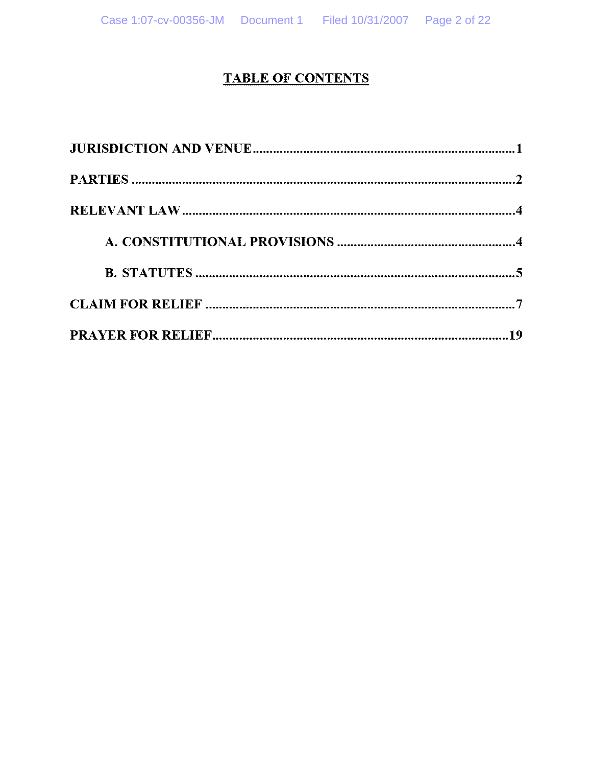# **TABLE OF CONTENTS**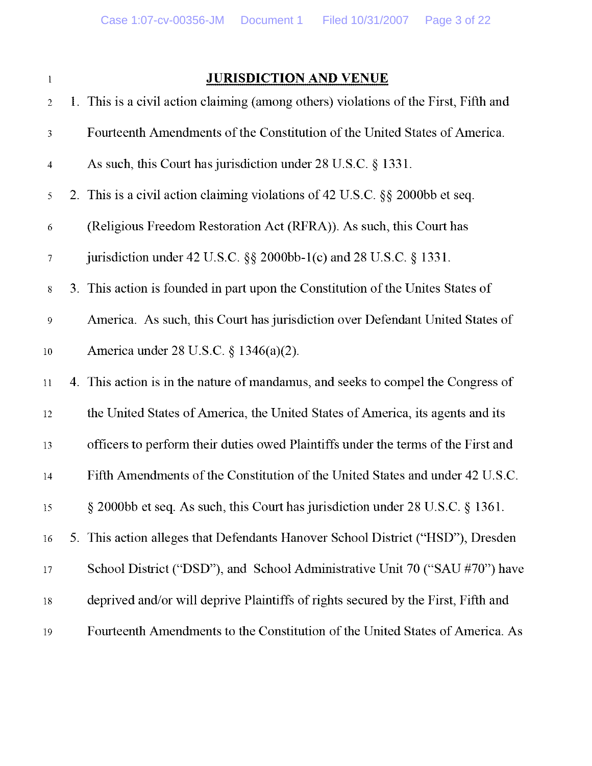## **<sup>1</sup> JURISDICTION** AND VENUE

| $\overline{2}$   | 1. This is a civil action claiming (among others) violations of the First, Fifth and |
|------------------|--------------------------------------------------------------------------------------|
| $\mathfrak{Z}$   | Fourteenth Amendments of the Constitution of the United States of America.           |
| $\overline{4}$   | As such, this Court has jurisdiction under 28 U.S.C. § 1331.                         |
| 5                | 2. This is a civil action claiming violations of 42 U.S.C. §§ 2000bb et seq.         |
| 6                | (Religious Freedom Restoration Act (RFRA)). As such, this Court has                  |
| $\overline{7}$   | jurisdiction under 42 U.S.C. $\S\S$ 2000bb-1(c) and 28 U.S.C. $\S$ 1331.             |
| $8\,$            | 3. This action is founded in part upon the Constitution of the Unites States of      |
| $\boldsymbol{9}$ | America. As such, this Court has jurisdiction over Defendant United States of        |
| $\overline{10}$  | America under 28 U.S.C. § 1346(a)(2).                                                |
| Ħ                | 4. This action is in the nature of mandamus, and seeks to compel the Congress of     |
| 12               | the United States of America, the United States of America, its agents and its       |
| 13               | officers to perform their duties owed Plaintiffs under the terms of the First and    |
| $\frac{1}{4}$    | Fifth Amendments of the Constitution of the United States and under 42 U.S.C.        |
| 15               | § 2000bb et seq. As such, this Court has jurisdiction under 28 U.S.C. § 1361.        |
| 16               | 5. This action alleges that Defendants Hanover School District ("HSD"), Dresden      |
| $17 \,$          | School District ("DSD"), and School Administrative Unit 70 ("SAU #70") have          |
| 18               | deprived and/or will deprive Plaintiffs of rights secured by the First, Fifth and    |
| 19               | Fourteenth Amendments to the Constitution of the United States of America. As        |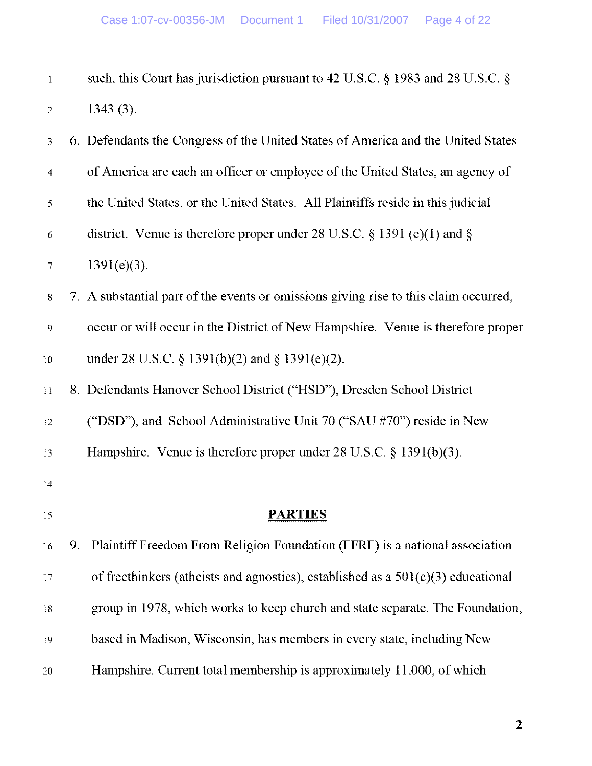| $\mathbf{I}$     |    | such, this Court has jurisdiction pursuant to 42 U.S.C. § 1983 and 28 U.S.C. §       |
|------------------|----|--------------------------------------------------------------------------------------|
| $\overline{2}$   |    | $1343(3)$ .                                                                          |
| 3                |    | 6. Defendants the Congress of the United States of America and the United States     |
| $\overline{4}$   |    | of America are each an officer or employee of the United States, an agency of        |
| 5                |    | the United States, or the United States. All Plaintiffs reside in this judicial      |
| $\sqrt{6}$       |    | district. Venue is therefore proper under 28 U.S.C. $\S$ 1391 (e)(1) and $\S$        |
| 7                |    | $1391(e)(3)$ .                                                                       |
| $8\,$            |    | 7. A substantial part of the events or omissions giving rise to this claim occurred, |
| $\boldsymbol{9}$ |    | occur or will occur in the District of New Hampshire. Venue is therefore proper      |
| $10\,$           |    | under 28 U.S.C. § 1391(b)(2) and § 1391(e)(2).                                       |
| $11\,$           |    | 8. Defendants Hanover School District ("HSD"), Dresden School District               |
| 12               |    | ("DSD"), and School Administrative Unit 70 ("SAU #70") reside in New                 |
| 13               |    | Hampshire. Venue is therefore proper under $28 \text{ U.S.C.} \S 1391(b)(3)$ .       |
| $14\,$           |    |                                                                                      |
| 15               |    | <b>PARTIES</b>                                                                       |
| 16               | 9. | Plaintiff Freedom From Religion Foundation (FFRF) is a national association          |
| 17               |    | of freethinkers (atheists and agnostics), established as a $501(c)(3)$ educational   |
| 18               |    | group in 1978, which works to keep church and state separate. The Foundation,        |
| 19               |    | based in Madison, Wisconsin, has members in every state, including New               |
| 20               |    | Hampshire. Current total membership is approximately 11,000, of which                |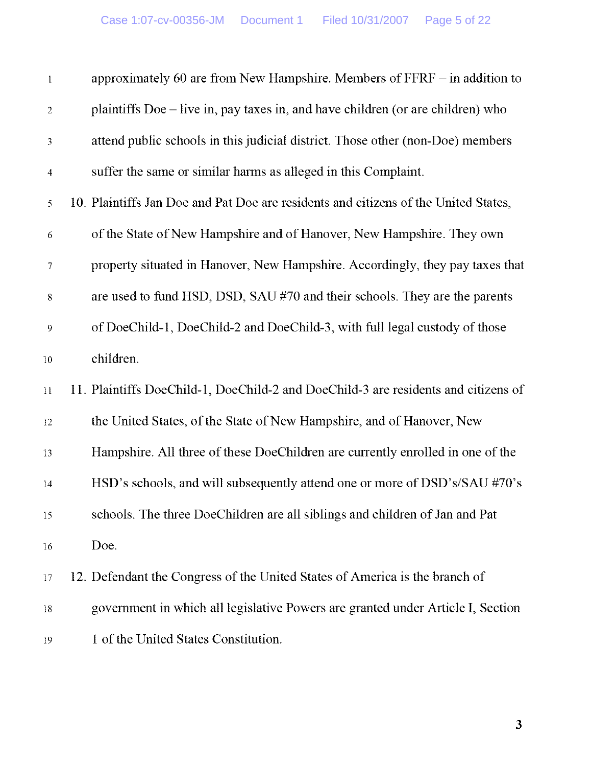| $\mathbf{l}$     | approximately 60 are from New Hampshire. Members of $FFRF - in$ addition to         |  |
|------------------|-------------------------------------------------------------------------------------|--|
| $\sqrt{2}$       | plaintiffs Doe – live in, pay taxes in, and have children (or are children) who     |  |
| $\mathfrak{Z}$   | attend public schools in this judicial district. Those other (non-Doe) members      |  |
| $\overline{4}$   | suffer the same or similar harms as alleged in this Complaint.                      |  |
| 5                | 10. Plaintiffs Jan Doe and Pat Doe are residents and citizens of the United States, |  |
| 6                | of the State of New Hampshire and of Hanover, New Hampshire. They own               |  |
| $\tau$           | property situated in Hanover, New Hampshire. Accordingly, they pay taxes that       |  |
| $8\,$            | are used to fund HSD, DSD, SAU #70 and their schools. They are the parents          |  |
| $\boldsymbol{9}$ | of DoeChild-1, DoeChild-2 and DoeChild-3, with full legal custody of those          |  |
| 10               | children.                                                                           |  |
| 11               | 11. Plaintiffs DoeChild-1, DoeChild-2 and DoeChild-3 are residents and citizens of  |  |
| 12               | the United States, of the State of New Hampshire, and of Hanover, New               |  |
| 13               | Hampshire. All three of these DoeChildren are currently enrolled in one of the      |  |
| 14               | HSD's schools, and will subsequently attend one or more of DSD's/SAU #70's          |  |
| 15               | schools. The three DoeChildren are all siblings and children of Jan and Pat         |  |
| 16               | Doe.                                                                                |  |
| 17               | 12. Defendant the Congress of the United States of America is the branch of         |  |
| 18               | government in which all legislative Powers are granted under Article I, Section     |  |
| 19               | 1 of the United States Constitution.                                                |  |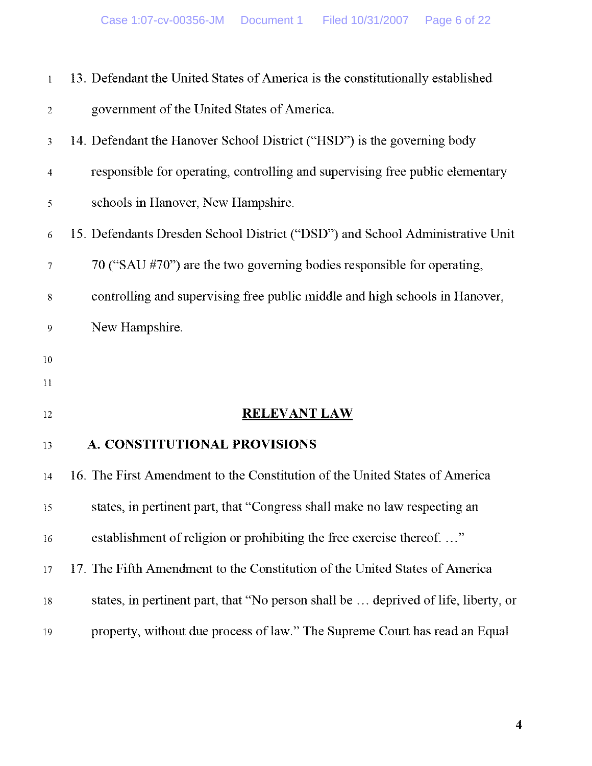| $\mathbf{1}$   | 13. Defendant the United States of America is the constitutionally established     |
|----------------|------------------------------------------------------------------------------------|
| $\overline{2}$ | government of the United States of America.                                        |
| 3              | 14. Defendant the Hanover School District ("HSD") is the governing body            |
| $\overline{4}$ | responsible for operating, controlling and supervising free public elementary      |
| 5              | schools in Hanover, New Hampshire.                                                 |
| 6              | 15. Defendants Dresden School District ("DSD") and School Administrative Unit      |
| 7              | 70 ("SAU #70") are the two governing bodies responsible for operating,             |
| 8              | controlling and supervising free public middle and high schools in Hanover,        |
| 9              | New Hampshire.                                                                     |
| $10\,$         |                                                                                    |
| 11             |                                                                                    |
| 12             | <b>RELEVANT LAW</b>                                                                |
| 13             | A. CONSTITUTIONAL PROVISIONS                                                       |
| 14             | 16. The First Amendment to the Constitution of the United States of America        |
| 15             | states, in pertinent part, that "Congress shall make no law respecting an          |
| 16             | establishment of religion or prohibiting the free exercise thereof"                |
| 17             | 17. The Fifth Amendment to the Constitution of the United States of America        |
| $18\,$         | states, in pertinent part, that "No person shall be  deprived of life, liberty, or |
| 19             | property, without due process of law." The Supreme Court has read an Equal         |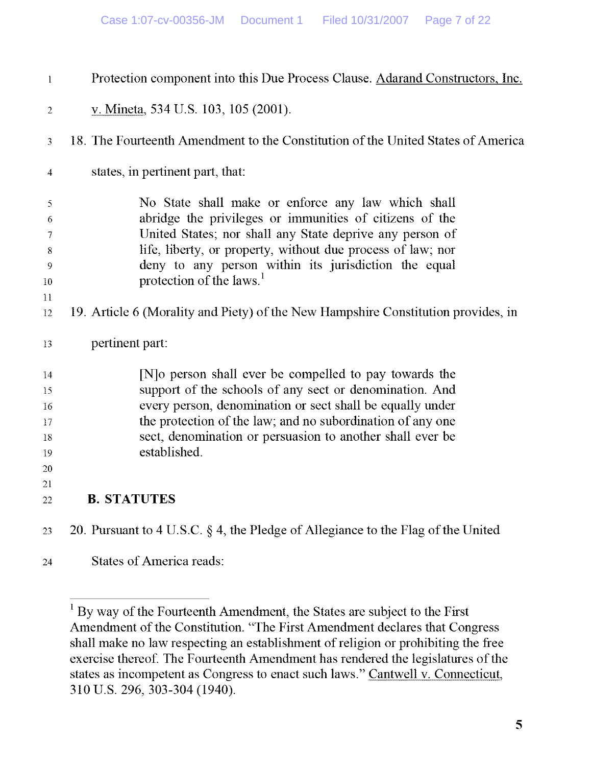| $\mathbf{l}$   | Protection component into this Due Process Clause. Adarand Constructors, Inc.       |
|----------------|-------------------------------------------------------------------------------------|
| 2              | v. Mineta, 534 U.S. 103, 105 (2001).                                                |
| 3              | 18. The Fourteenth Amendment to the Constitution of the United States of America    |
| $\overline{4}$ | states, in pertinent part, that:                                                    |
| 5              | No State shall make or enforce any law which shall                                  |
| 6              | abridge the privileges or immunities of citizens of the                             |
| 7              | United States; nor shall any State deprive any person of                            |
| 8              | life, liberty, or property, without due process of law; nor                         |
| 9              | deny to any person within its jurisdiction the equal                                |
| 10             | protection of the laws. <sup>1</sup>                                                |
| 11             |                                                                                     |
| 12             | 19. Article 6 (Morality and Piety) of the New Hampshire Constitution provides, in   |
| 13             | pertinent part:                                                                     |
| 14             | [N] o person shall ever be compelled to pay towards the                             |
| 15             | support of the schools of any sect or denomination. And                             |
| 16             | every person, denomination or sect shall be equally under                           |
| 17             | the protection of the law; and no subordination of any one                          |
| 18             | sect, denomination or persuasion to another shall ever be                           |
| 19             | established.                                                                        |
| 20             |                                                                                     |
| 21             |                                                                                     |
| $22\,$         | <b>B. STATUTES</b>                                                                  |
| 23             | 20. Pursuant to 4 U.S.C. $\S$ 4, the Pledge of Allegiance to the Flag of the United |

24 States of America reads:

<sup>&</sup>lt;sup>1</sup> By way of the Fourteenth Amendment, the States are subject to the First Amendment of the Constitution . "The First Amendment declares that Congress shall make no law respecting an establishment of religion or prohibiting the free exercise thereof. The Fourteenth Amendment has rendered the legislatures of the states as incompetent as Congress to enact such laws ." Cantwell v. Connecticut, 310 U.S. 296, 303-304 (1940).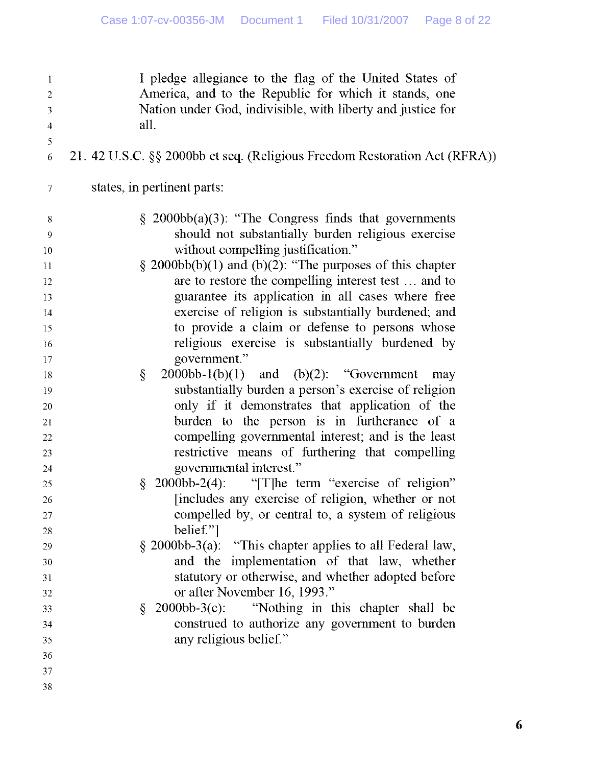| $\mathbf{l}$<br>$\boldsymbol{2}$<br>$\mathfrak{Z}$ | I pledge allegiance to the flag of the United States of<br>America, and to the Republic for which it stands, one<br>Nation under God, indivisible, with liberty and justice for |
|----------------------------------------------------|---------------------------------------------------------------------------------------------------------------------------------------------------------------------------------|
| $\overline{4}$                                     | all.                                                                                                                                                                            |
| 5                                                  |                                                                                                                                                                                 |
| 6                                                  | 21. 42 U.S.C. §§ 2000bb et seq. (Religious Freedom Restoration Act (RFRA))                                                                                                      |
| $\tau$                                             | states, in pertinent parts:                                                                                                                                                     |
| 8                                                  | $\S$ 2000bb(a)(3): "The Congress finds that governments                                                                                                                         |
| $\overline{9}$                                     | should not substantially burden religious exercise                                                                                                                              |
| 10                                                 | without compelling justification."                                                                                                                                              |
| 11                                                 | $\S$ 2000bb(b)(1) and (b)(2): "The purposes of this chapter                                                                                                                     |
| 12                                                 | are to restore the compelling interest test  and to                                                                                                                             |
| 13                                                 | guarantee its application in all cases where free                                                                                                                               |
| 14                                                 | exercise of religion is substantially burdened; and                                                                                                                             |
| 15                                                 | to provide a claim or defense to persons whose                                                                                                                                  |
| 16                                                 | religious exercise is substantially burdened by                                                                                                                                 |
| 17                                                 | government."                                                                                                                                                                    |
| 18                                                 | ş<br>$2000bb-1(b)(1)$ and $(b)(2)$ : "Government<br>may                                                                                                                         |
| 19                                                 | substantially burden a person's exercise of religion                                                                                                                            |
| 20                                                 | only if it demonstrates that application of the                                                                                                                                 |
| 21                                                 | burden to the person is in furtherance of a                                                                                                                                     |
| $22\,$                                             | compelling governmental interest; and is the least                                                                                                                              |
| 23                                                 | restrictive means of furthering that compelling                                                                                                                                 |
| 24                                                 | governmental interest."                                                                                                                                                         |
| 25                                                 | $\S$<br>2000bb-2(4): "The term "exercise of religion"                                                                                                                           |
| 26                                                 | [includes any exercise of religion, whether or not                                                                                                                              |
| 27                                                 | compelled by, or central to, a system of religious                                                                                                                              |
| 28                                                 | belief."                                                                                                                                                                        |
| 29                                                 | $\S$ 2000bb-3(a): "This chapter applies to all Federal law,                                                                                                                     |
| 30                                                 | and the implementation of that law, whether                                                                                                                                     |
| 31                                                 | statutory or otherwise, and whether adopted before                                                                                                                              |
| 32                                                 | or after November 16, 1993."                                                                                                                                                    |
| 33                                                 | $2000bb-3(c)$ : "Nothing in this chapter shall be<br>§.                                                                                                                         |
| 34                                                 | construed to authorize any government to burden                                                                                                                                 |
| 35                                                 | any religious belief."                                                                                                                                                          |
| 36                                                 |                                                                                                                                                                                 |
| 37                                                 |                                                                                                                                                                                 |
| 38                                                 |                                                                                                                                                                                 |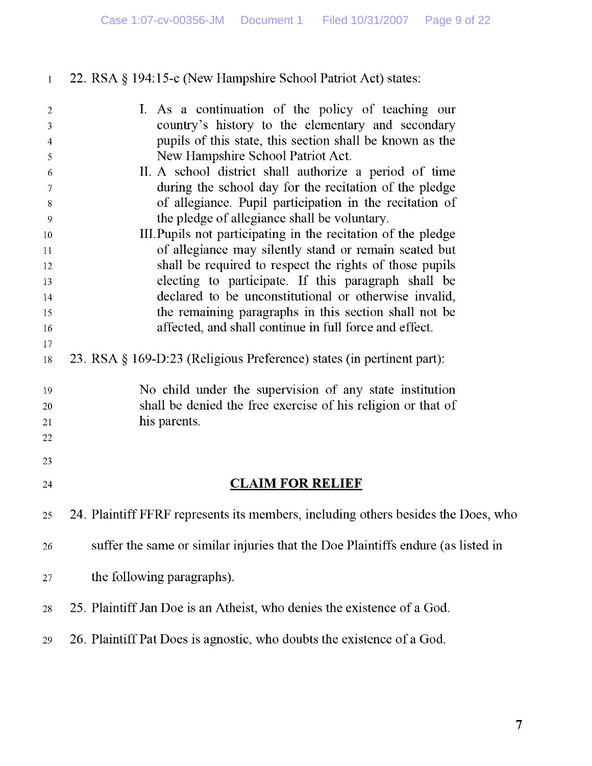| $\mathbf{1}$   | 22. RSA § 194:15-c (New Hampshire School Patriot Act) states:                                                 |
|----------------|---------------------------------------------------------------------------------------------------------------|
| $\overline{2}$ | I. As a continuation of the policy of teaching our                                                            |
| 3              | country's history to the elementary and secondary                                                             |
| $\overline{4}$ | pupils of this state, this section shall be known as the                                                      |
| 5              | New Hampshire School Patriot Act.                                                                             |
| 6              | II. A school district shall authorize a period of time                                                        |
| 7              | during the school day for the recitation of the pledge                                                        |
| 8              | of allegiance. Pupil participation in the recitation of                                                       |
| 9              | the pledge of allegiance shall be voluntary.<br>III. Pupils not participating in the recitation of the pledge |
| 10<br>11       | of allegiance may silently stand or remain seated but                                                         |
| 12             | shall be required to respect the rights of those pupils                                                       |
| 13             | electing to participate. If this paragraph shall be                                                           |
| 14             | declared to be unconstitutional or otherwise invalid,                                                         |
| 15             | the remaining paragraphs in this section shall not be                                                         |
| 16             | affected, and shall continue in full force and effect.                                                        |
| 17             |                                                                                                               |
| 18             | 23. RSA § 169-D:23 (Religious Preference) states (in pertinent part):                                         |
| 19             | No child under the supervision of any state institution                                                       |
| 20             | shall be denied the free exercise of his religion or that of                                                  |
| 21             | his parents.                                                                                                  |
| 22             |                                                                                                               |
| 23             |                                                                                                               |
| 24             | <u>CLAIM FOR RELIEF</u>                                                                                       |
| 25             | 24. Plaintiff FFRF represents its members, including others besides the Does, who                             |
| 26             | suffer the same or similar injuries that the Doe Plaintiffs endure (as listed in                              |
| 27             | the following paragraphs).                                                                                    |
| 28             | 25. Plaintiff Jan Doe is an Atheist, who denies the existence of a God.                                       |
|                |                                                                                                               |
| 29             | 26. Plaintiff Pat Does is agnostic, who doubts the existence of a God.                                        |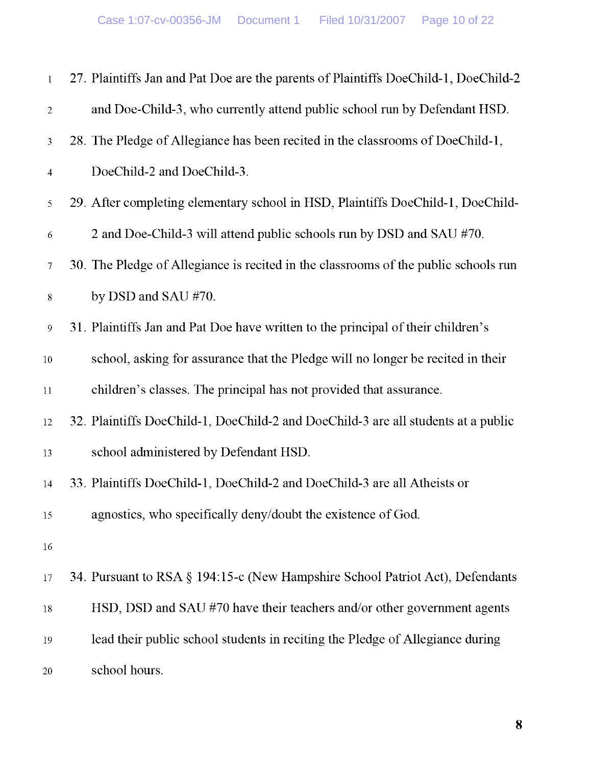| $\mathbf{1}$     | 27. Plaintiffs Jan and Pat Doe are the parents of Plaintiffs DoeChild-1, DoeChild-2 |
|------------------|-------------------------------------------------------------------------------------|
| $\sqrt{2}$       | and Doe-Child-3, who currently attend public school run by Defendant HSD.           |
| 3                | 28. The Pledge of Allegiance has been recited in the classrooms of DoeChild-1,      |
| $\overline{4}$   | DoeChild-2 and DoeChild-3.                                                          |
| 5                | 29. After completing elementary school in HSD, Plaintiffs DoeChild-1, DoeChild-     |
| $\sqrt{6}$       | 2 and Doe-Child-3 will attend public schools run by DSD and SAU #70.                |
| $\tau$           | 30. The Pledge of Allegiance is recited in the classrooms of the public schools run |
| $8\,$            | by DSD and SAU #70.                                                                 |
| $\boldsymbol{9}$ | 31. Plaintiffs Jan and Pat Doe have written to the principal of their children's    |
| $10\,$           | school, asking for assurance that the Pledge will no longer be recited in their     |
| $11\,$           | children's classes. The principal has not provided that assurance.                  |
| 12               | 32. Plaintiffs DoeChild-1, DoeChild-2 and DoeChild-3 are all students at a public   |
| 13               | school administered by Defendant HSD.                                               |
| $14\,$           | 33. Plaintiffs DoeChild-1, DoeChild-2 and DoeChild-3 are all Atheists or            |
| 15               | agnostics, who specifically deny/doubt the existence of God.                        |
| 16               |                                                                                     |
| 17               | 34. Pursuant to RSA § 194:15-c (New Hampshire School Patriot Act), Defendants       |
| $18\,$           | HSD, DSD and SAU #70 have their teachers and/or other government agents             |
| 19               | lead their public school students in reciting the Pledge of Allegiance during       |
| 20               | school hours.                                                                       |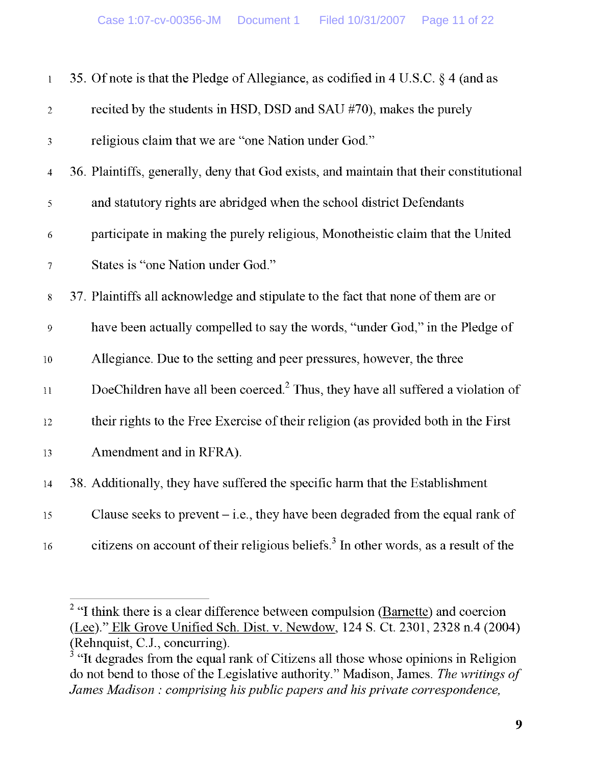| $\mathbf{l}$     | 35. Of note is that the Pledge of Allegiance, as codified in 4 U.S.C. § 4 (and as               |
|------------------|-------------------------------------------------------------------------------------------------|
| $\overline{2}$   | recited by the students in HSD, DSD and SAU #70), makes the purely                              |
| 3                | religious claim that we are "one Nation under God."                                             |
| $\overline{4}$   | 36. Plaintiffs, generally, deny that God exists, and maintain that their constitutional         |
| 5                | and statutory rights are abridged when the school district Defendants                           |
| 6                | participate in making the purely religious, Monotheistic claim that the United                  |
| $\boldsymbol{7}$ | States is "one Nation under God."                                                               |
| $8\,$            | 37. Plaintiffs all acknowledge and stipulate to the fact that none of them are or               |
| 9                | have been actually compelled to say the words, "under God," in the Pledge of                    |
| $10\,$           | Allegiance. Due to the setting and peer pressures, however, the three                           |
| $11\,$           | DoeChildren have all been coerced. <sup>2</sup> Thus, they have all suffered a violation of     |
| $12\,$           | their rights to the Free Exercise of their religion (as provided both in the First              |
| 13               | Amendment and in RFRA).                                                                         |
| $14\,$           | 38. Additionally, they have suffered the specific harm that the Establishment                   |
| 15               | Clause seeks to prevent $-i.e.,$ they have been degraded from the equal rank of                 |
| 16               | citizens on account of their religious beliefs. <sup>3</sup> In other words, as a result of the |

 $2$  "I think there is a clear difference between compulsion (Barnette) and coercion (Lee)." Elk Grove Unified Sch . Dist. v. Newdow, 124 S . Ct. 2301, 2328 n.4 (2004) (Rehnquist, C.J., concurring).

 $3$  "It degrades from the equal rank of Citizens all those whose opinions in Religion do not bend to those of the Legislative authority ." Madison, James. *The writings of James Madison : comprising his public papers and his private correspondence,*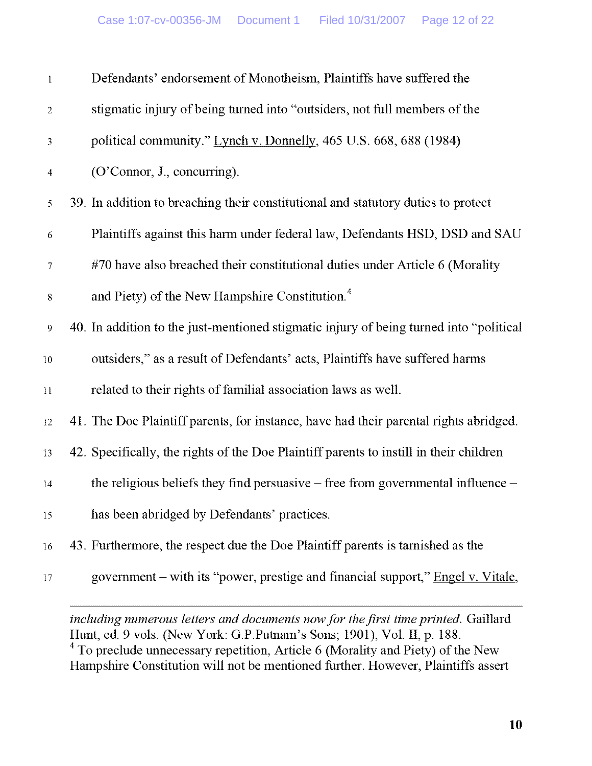| $\mathbf{l}$   | Defendants' endorsement of Monotheism, Plaintiffs have suffered the                    |
|----------------|----------------------------------------------------------------------------------------|
| $\sqrt{2}$     | stigmatic injury of being turned into "outsiders, not full members of the              |
| 3              | political community." Lynch v. Donnelly, 465 U.S. 668, 688 (1984)                      |
| $\overline{4}$ | (O'Connor, J., concurring).                                                            |
| 5              | 39. In addition to breaching their constitutional and statutory duties to protect      |
| 6              | Plaintiffs against this harm under federal law, Defendants HSD, DSD and SAU            |
| $\tau$         | #70 have also breached their constitutional duties under Article 6 (Morality           |
| $8\,$          | and Piety) of the New Hampshire Constitution. <sup>4</sup>                             |
| 9              | 40. In addition to the just-mentioned stigmatic injury of being turned into "political |
| $10\,$         | outsiders," as a result of Defendants' acts, Plaintiffs have suffered harms            |
| 11             | related to their rights of familial association laws as well.                          |
| 12             | 41. The Doe Plaintiff parents, for instance, have had their parental rights abridged.  |
| 13             | 42. Specifically, the rights of the Doe Plaintiff parents to instill in their children |
| $14\,$         | the religious beliefs they find persuasive $-$ free from governmental influence $-$    |
| 15             | has been abridged by Defendants' practices.                                            |
| 16             | 43. Furthermore, the respect due the Doe Plaintiff parents is tarnished as the         |
| 17             | government – with its "power, prestige and financial support," Engel v. Vitale,        |

*including numerous letters and documents now for the first time printed.* Gaillard Hunt, ed. 9 vols. (New York: G.P.Putnam's Sons; 1901), Vol. II, p. 188. 4 To preclude unnecessary repetition, Article **6** (Morality and Piety) of the New Hampshire Constitution will not be mentioned further. However, Plaintiffs assert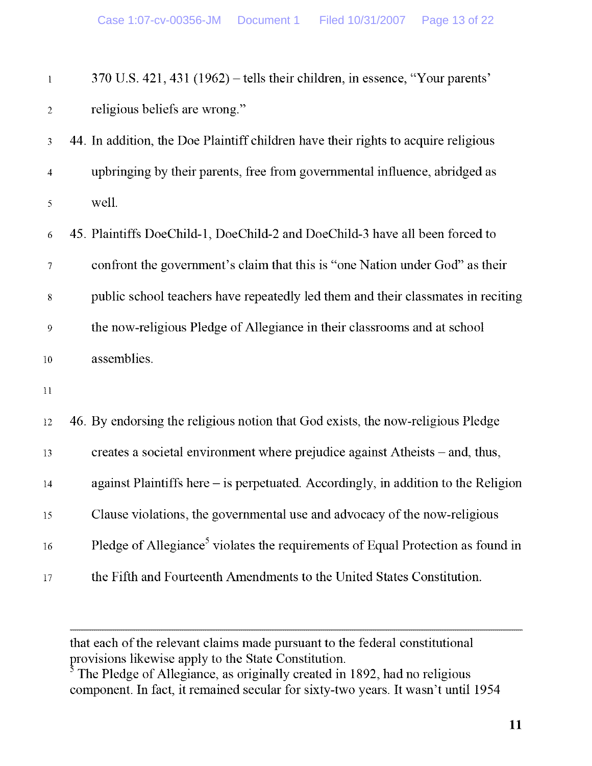| $\mathbf{1}$     | 370 U.S. 421, 431 (1962) – tells their children, in essence, "Your parents'                 |
|------------------|---------------------------------------------------------------------------------------------|
| $\overline{c}$   | religious beliefs are wrong."                                                               |
| $\overline{3}$   | 44. In addition, the Doe Plaintiff children have their rights to acquire religious          |
| $\overline{4}$   | upbringing by their parents, free from governmental influence, abridged as                  |
| 5                | well.                                                                                       |
| 6                | 45. Plaintiffs DoeChild-1, DoeChild-2 and DoeChild-3 have all been forced to                |
| $\tau$           | confront the government's claim that this is "one Nation under God" as their                |
| $8\,$            | public school teachers have repeatedly led them and their classmates in reciting            |
| $\boldsymbol{9}$ | the now-religious Pledge of Allegiance in their classrooms and at school                    |
| $10\,$           | assemblies.                                                                                 |
| $1\,1$           |                                                                                             |
| 12               | 46. By endorsing the religious notion that God exists, the now-religious Pledge             |
| 13               | creates a societal environment where prejudice against Atheists – and, thus,                |
| 14               | against Plaintiffs here – is perpetuated. Accordingly, in addition to the Religion          |
| 15               | Clause violations, the governmental use and advocacy of the now-religious                   |
| 16               | Pledge of Allegiance <sup>5</sup> violates the requirements of Equal Protection as found in |
| $17\,$           | the Fifth and Fourteenth Amendments to the United States Constitution.                      |

that each of the relevant claims made pursuant to the federal constitutional provisions likewise apply to the State Constitution.

The Pledge of Allegiance, as originally created in 1892, had no religious component. In fact, it remained secular for sixty-two years. It wasn't until 1954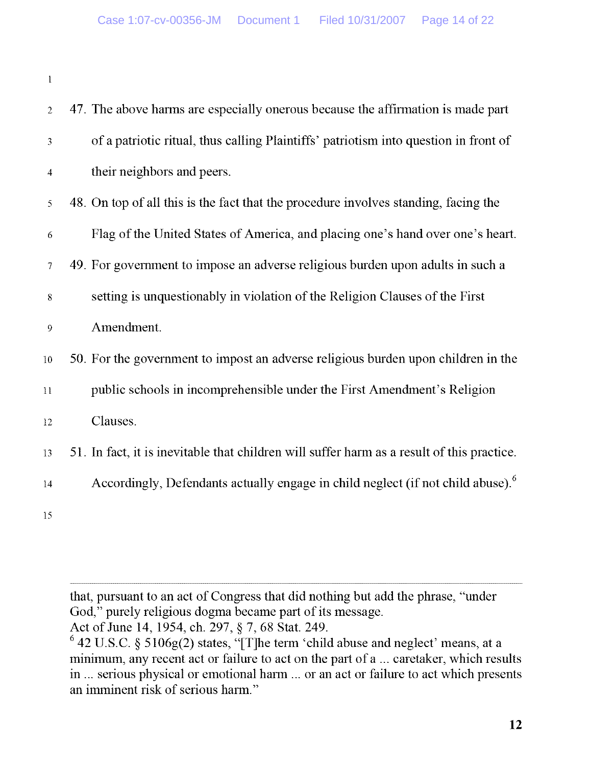1

| $\overline{2}$ | 47. The above harms are especially onerous because the affirmation is made part             |
|----------------|---------------------------------------------------------------------------------------------|
| 3              | of a patriotic ritual, thus calling Plaintiffs' patriotism into question in front of        |
| $\overline{4}$ | their neighbors and peers.                                                                  |
| 5              | 48. On top of all this is the fact that the procedure involves standing, facing the         |
| 6              | Flag of the United States of America, and placing one's hand over one's heart.              |
| $\overline{7}$ | 49. For government to impose an adverse religious burden upon adults in such a              |
| 8              | setting is unquestionably in violation of the Religion Clauses of the First                 |
| 9              | Amendment.                                                                                  |
| $10\,$         | 50. For the government to impost an adverse religious burden upon children in the           |
| $11\,$         | public schools in incomprehensible under the First Amendment's Religion                     |
| 12             | Clauses.                                                                                    |
| 13             | 51. In fact, it is inevitable that children will suffer harm as a result of this practice.  |
| 14             | Accordingly, Defendants actually engage in child neglect (if not child abuse). <sup>6</sup> |
| 15             |                                                                                             |

that, pursuant to an act of Congress that did nothing but add the phrase, "under God," purely religious dogma became part of its message.

Act of June 14, 1954, ch. 297, § 7, 68 Stat. 249.

 $^{\circ}$  42 U.S.C. § 5106g(2) states, "[T]he term 'child abuse and neglect' means, at a minimum, any recent act or failure to act on the part of a **. . .** caretaker, which results in ... serious physical or emotional harm ... or an act or failure to act which presents an imminent risk of serious harm."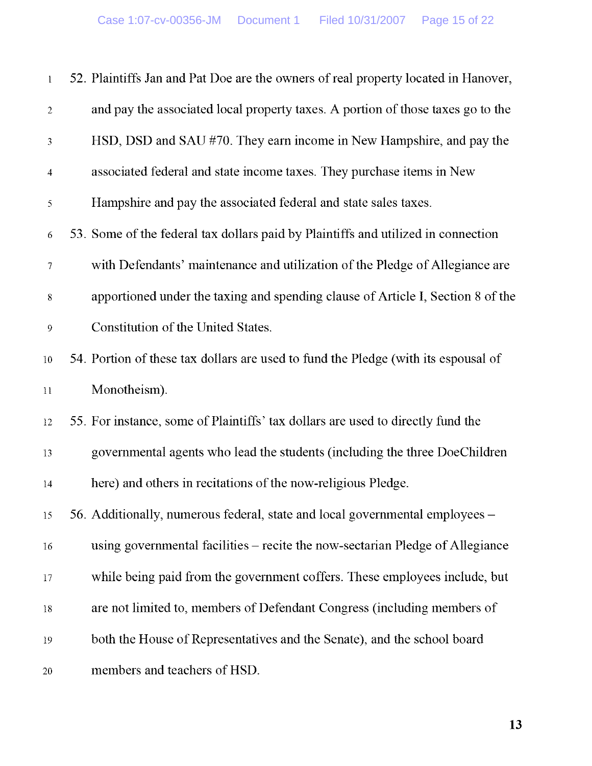| $\mathbf{l}$     | 52. Plaintiffs Jan and Pat Doe are the owners of real property located in Hanover, |
|------------------|------------------------------------------------------------------------------------|
| $\overline{2}$   | and pay the associated local property taxes. A portion of those taxes go to the    |
| 3                | HSD, DSD and SAU #70. They earn income in New Hampshire, and pay the               |
| $\overline{4}$   | associated federal and state income taxes. They purchase items in New              |
| 5                | Hampshire and pay the associated federal and state sales taxes.                    |
| 6                | 53. Some of the federal tax dollars paid by Plaintiffs and utilized in connection  |
| 7                | with Defendants' maintenance and utilization of the Pledge of Allegiance are       |
| 8                | apportioned under the taxing and spending clause of Article I, Section 8 of the    |
| $\boldsymbol{9}$ | Constitution of the United States.                                                 |
| 10               | 54. Portion of these tax dollars are used to fund the Pledge (with its espousal of |
| 11               | Monotheism).                                                                       |
| 12               | 55. For instance, some of Plaintiffs' tax dollars are used to directly fund the    |
| 13               | governmental agents who lead the students (including the three DoeChildren         |
| 14               | here) and others in recitations of the now-religious Pledge.                       |
| 15               | 56. Additionally, numerous federal, state and local governmental employees –       |
| 16               | using governmental facilities – recite the now-sectarian Pledge of Allegiance      |
| 17               | while being paid from the government coffers. These employees include, but         |
| 18               | are not limited to, members of Defendant Congress (including members of            |
| 19               | both the House of Representatives and the Senate), and the school board            |
| 20               | members and teachers of HSD.                                                       |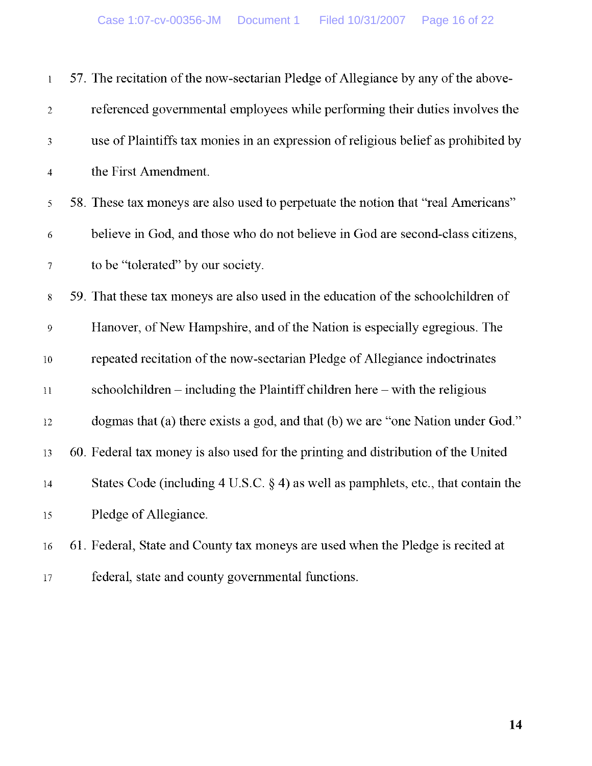| $\mathbf{l}$     | 57. The recitation of the now-sectarian Pledge of Allegiance by any of the above-    |
|------------------|--------------------------------------------------------------------------------------|
| $\overline{2}$   | referenced governmental employees while performing their duties involves the         |
| 3                | use of Plaintiffs tax monies in an expression of religious belief as prohibited by   |
| $\overline{4}$   | the First Amendment.                                                                 |
| 5                | 58. These tax moneys are also used to perpetuate the notion that "real Americans"    |
| 6                | believe in God, and those who do not believe in God are second-class citizens,       |
| $\tau$           | to be "tolerated" by our society.                                                    |
| $8\,$            | 59. That these tax moneys are also used in the education of the schoolchildren of    |
| $\boldsymbol{9}$ | Hanover, of New Hampshire, and of the Nation is especially egregious. The            |
| $10\,$           | repeated recitation of the now-sectarian Pledge of Allegiance indoctrinates          |
| 11               | schoolchildren $-$ including the Plaintiff children here $-$ with the religious      |
| 12               | dogmas that (a) there exists a god, and that (b) we are "one Nation under God."      |
| 13               | 60. Federal tax money is also used for the printing and distribution of the United   |
| $14\,$           | States Code (including 4 U.S.C. $\S$ 4) as well as pamphlets, etc., that contain the |
| 15               | Pledge of Allegiance.                                                                |
| 16               | 61. Federal, State and County tax moneys are used when the Pledge is recited at      |
|                  |                                                                                      |

**<sup>17</sup>** federal, state and county governmental functions .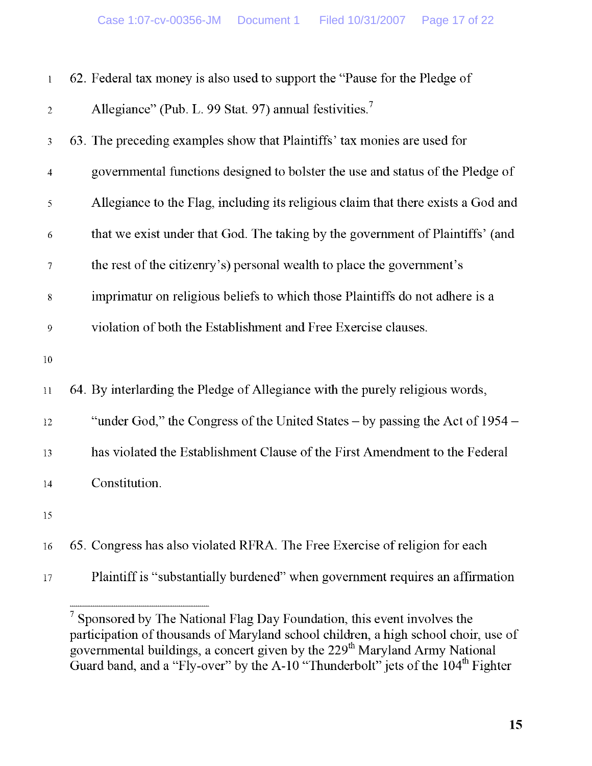| $\mathbf{l}$ | 62. Federal tax money is also used to support the "Pause for the Pledge of        |
|--------------|-----------------------------------------------------------------------------------|
| 2            | Allegiance" (Pub. L. 99 Stat. 97) annual festivities. <sup>7</sup>                |
| 3            | 63. The preceding examples show that Plaintiffs' tax monies are used for          |
| 4            | governmental functions designed to bolster the use and status of the Pledge of    |
| 5            | Allegiance to the Flag, including its religious claim that there exists a God and |
| 6            | that we exist under that God. The taking by the government of Plaintiffs' (and    |
| $\tau$       | the rest of the citizenry's) personal wealth to place the government's            |
| $8\,$        | imprimatur on religious beliefs to which those Plaintiffs do not adhere is a      |
| 9            | violation of both the Establishment and Free Exercise clauses.                    |
| $10\,$       |                                                                                   |
| 11           | 64. By interlarding the Pledge of Allegiance with the purely religious words,     |
| 12           | "under God," the Congress of the United States – by passing the Act of 1954 –     |
| 13           | has violated the Establishment Clause of the First Amendment to the Federal       |
| $14\,$       | Constitution.                                                                     |
| 15           |                                                                                   |
| 16           | 65. Congress has also violated RFRA. The Free Exercise of religion for each       |
| 17           | Plaintiff is "substantially burdened" when government requires an affirmation     |

<sup>7</sup> Sponsored by The National Flag Day Foundation, this event involves the participation of thousands of Maryland school children, a high school choir, use of governmental buildings, a concert given by the **229**th Maryland Army National Guard band, and a "Fly-over" by the A-10 "Thunderbolt" jets of the  $104^{\text{m}}$  Fighter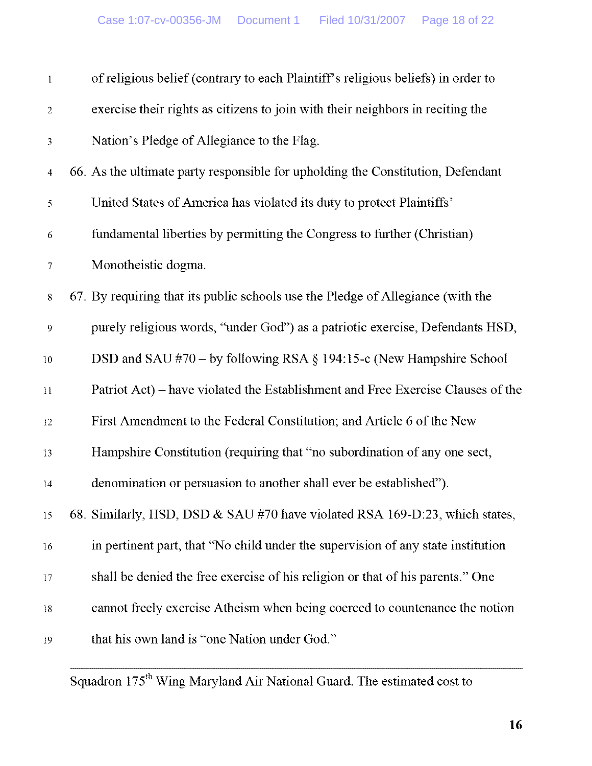| $\mathbf{l}$     | of religious belief (contrary to each Plaintiff's religious beliefs) in order to |
|------------------|----------------------------------------------------------------------------------|
| $\overline{c}$   | exercise their rights as citizens to join with their neighbors in reciting the   |
| 3                | Nation's Pledge of Allegiance to the Flag.                                       |
| $\overline{4}$   | 66. As the ultimate party responsible for upholding the Constitution, Defendant  |
| 5                | United States of America has violated its duty to protect Plaintiffs'            |
| $\sqrt{6}$       | fundamental liberties by permitting the Congress to further (Christian)          |
| 7                | Monotheistic dogma.                                                              |
| $8\,$            | 67. By requiring that its public schools use the Pledge of Allegiance (with the  |
| $\boldsymbol{9}$ | purely religious words, "under God") as a patriotic exercise, Defendants HSD,    |
| $10\,$           | DSD and SAU #70 – by following RSA $\S$ 194:15-c (New Hampshire School           |
| $11\,$           | Patriot Act) – have violated the Establishment and Free Exercise Clauses of the  |
| $12 \,$          | First Amendment to the Federal Constitution; and Article 6 of the New            |
| 13               | Hampshire Constitution (requiring that "no subordination of any one sect,        |
| 14               | denomination or persuasion to another shall ever be established").               |
| 15               | 68. Similarly, HSD, DSD & SAU #70 have violated RSA 169-D:23, which states,      |
| 16               | in pertinent part, that "No child under the supervision of any state institution |
| 17               | shall be denied the free exercise of his religion or that of his parents." One   |
| $18\,$           | cannot freely exercise Atheism when being coerced to countenance the notion      |
| 19               | that his own land is "one Nation under God."                                     |

**Squadron** 175`h Wing Maryland Air National Guard. The **estimated cost to**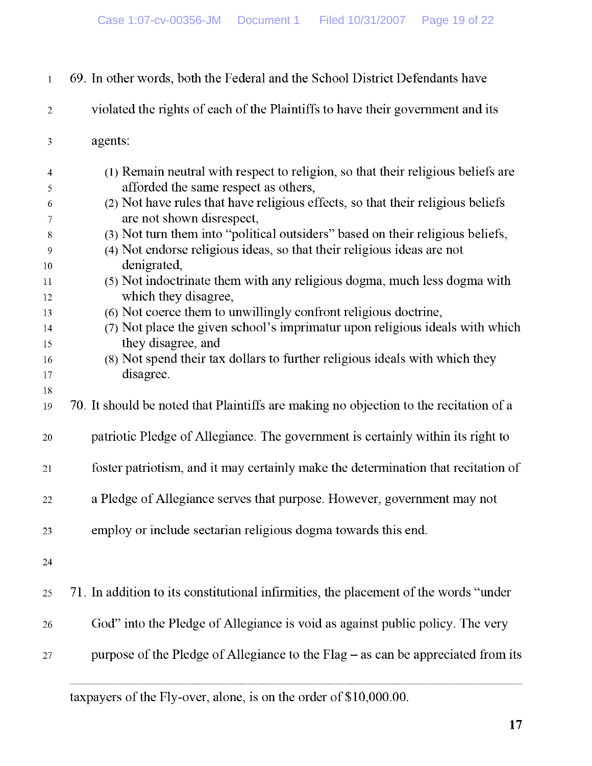| $\mathbf{1}$   | 69. In other words, both the Federal and the School District Defendants have          |
|----------------|---------------------------------------------------------------------------------------|
| $\overline{2}$ | violated the rights of each of the Plaintiffs to have their government and its        |
| 3              | agents:                                                                               |
| $\overline{4}$ | (1) Remain neutral with respect to religion, so that their religious beliefs are      |
| 5              | afforded the same respect as others,                                                  |
| 6              | (2) Not have rules that have religious effects, so that their religious beliefs       |
| $\tau$         | are not shown disrespect,                                                             |
| 8              | (3) Not turn them into "political outsiders" based on their religious beliefs,        |
| 9              | (4) Not endorse religious ideas, so that their religious ideas are not                |
| 10             | denigrated,                                                                           |
| 11             | (5) Not indoctrinate them with any religious dogma, much less dogma with              |
| 12             | which they disagree,                                                                  |
| 13             | (6) Not coerce them to unwillingly confront religious doctrine,                       |
| $14\,$         | (7) Not place the given school's imprimatur upon religious ideals with which          |
| 15             | they disagree, and                                                                    |
| 16             | (8) Not spend their tax dollars to further religious ideals with which they           |
| 17             | disagree.                                                                             |
| 18<br>19       | 70. It should be noted that Plaintiffs are making no objection to the recitation of a |
| 20             | patriotic Pledge of Allegiance. The government is certainly within its right to       |
| 21             | foster patriotism, and it may certainly make the determination that recitation of     |
| 22             | a Pledge of Allegiance serves that purpose. However, government may not               |
| 23             | employ or include sectarian religious dogma towards this end.                         |
| 24             |                                                                                       |
| 25             | 71. In addition to its constitutional infirmities, the placement of the words "under  |
| 26             | God" into the Pledge of Allegiance is void as against public policy. The very         |
| 27             | purpose of the Pledge of Allegiance to the Flag – as can be appreciated from its      |
|                |                                                                                       |

taxpayers of the Fly-over, alone, is on the order of \$10,000 .00.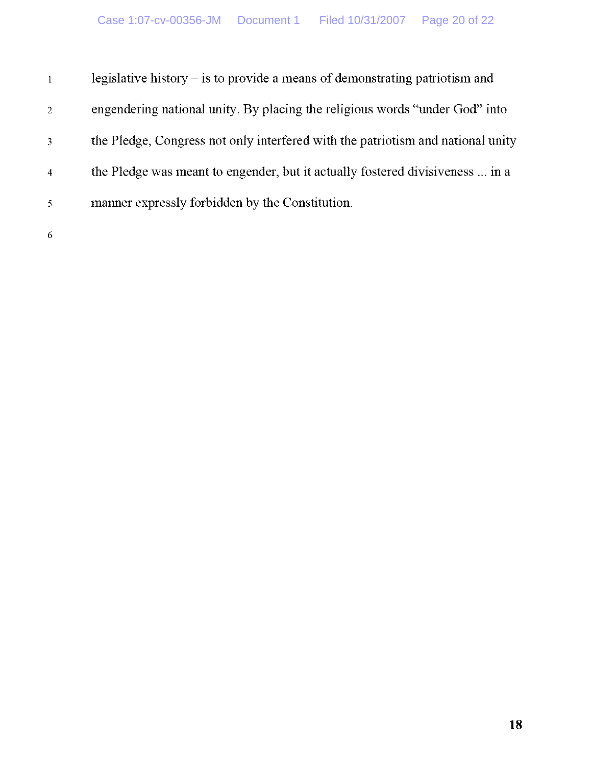| $\mathbf{1}$   | legislative history $-$ is to provide a means of demonstrating patriotism and   |
|----------------|---------------------------------------------------------------------------------|
| $\overline{2}$ | engendering national unity. By placing the religious words "under God" into     |
| 3              | the Pledge, Congress not only interfered with the patriotism and national unity |
| 4              | the Pledge was meant to engender, but it actually fostered divisiveness  in a   |
| 5              | manner expressly forbidden by the Constitution.                                 |
| 6              |                                                                                 |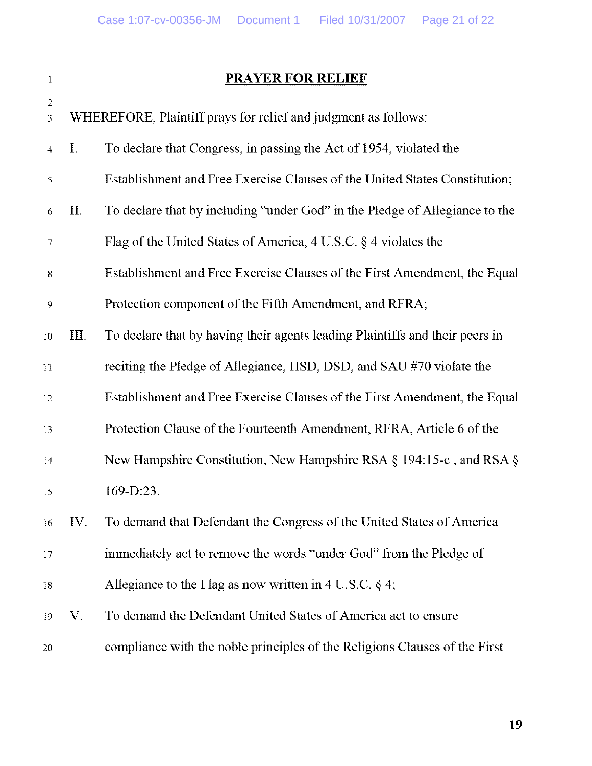| ł              |  |
|----------------|--|
| $\mathfrak{D}$ |  |

# 1 PRAYER FOR RELIEF

| $\mathfrak{Z}$           |             | WHEREFORE, Plaintiff prays for relief and judgment as follows:               |
|--------------------------|-------------|------------------------------------------------------------------------------|
| $\overline{4}$           | Ι.          | To declare that Congress, in passing the Act of 1954, violated the           |
| $\mathfrak{S}$           |             | Establishment and Free Exercise Clauses of the United States Constitution;   |
| 6                        | $\prod$ .   | To declare that by including "under God" in the Pledge of Allegiance to the  |
| $\overline{\mathcal{I}}$ |             | Flag of the United States of America, $4 \text{ U.S.C. }$ § 4 violates the   |
| $8\,$                    |             | Establishment and Free Exercise Clauses of the First Amendment, the Equal    |
| 9                        |             | Protection component of the Fifth Amendment, and RFRA;                       |
| 10                       | III.        | To declare that by having their agents leading Plaintiffs and their peers in |
| 11                       |             | reciting the Pledge of Allegiance, HSD, DSD, and SAU #70 violate the         |
| 12                       |             | Establishment and Free Exercise Clauses of the First Amendment, the Equal    |
| 13                       |             | Protection Clause of the Fourteenth Amendment, RFRA, Article 6 of the        |
| 14                       |             | New Hampshire Constitution, New Hampshire RSA $\S$ 194:15-c, and RSA $\S$    |
| 15                       |             | 169-D:23.                                                                    |
| 16                       | IV.         | To demand that Defendant the Congress of the United States of America        |
| 17                       |             | immediately act to remove the words "under God" from the Pledge of           |
| 18                       |             | Allegiance to the Flag as now written in 4 U.S.C. $\S$ 4;                    |
| 19                       | $V_{\cdot}$ | To demand the Defendant United States of America act to ensure               |
| 20                       |             | compliance with the noble principles of the Religions Clauses of the First   |